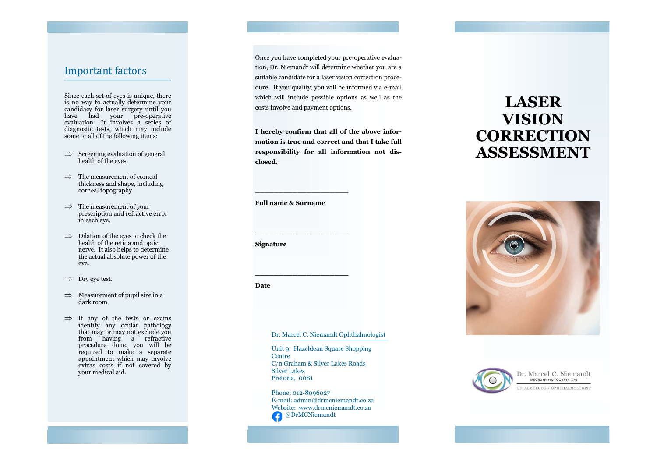### Important factors

Since each set of eyes is unique, there is no way to actually determine your candidacy for laser surgery until you have had your pre -operative evaluation. It involves a series of diagnostic tests, which may include some or all of the following items:

- $\implies$  Screening evaluation of general health of the eyes.
- $\Rightarrow$  The measurement of corneal thickness and shape, including corneal topography.
- $\implies$  The measurement of your prescription and refractive error in each eye.
- $\implies$  Dilation of the eyes to check the health of the retina and optic nerve. It also helps to determine the actual absolute power of the eye.
- $\implies$  Dry eye test.
- $\implies$  Measurement of pupil size in a dark room
- $\implies$  If any of the tests or exams identify any ocular pathology that may or may not exclude you from having a refractive procedure done, you will be required to make a separate appointment which may involve extras costs if not covered by your medical aid.

Once you have completed your pre -operative evaluation, Dr. Niemandt will determine whether you are a suitable candidate for a laser vision correction procedure. If you qualify, you will be informed via e-mail which will include possible options as well as the costs involve and payment options.

**I hereby confirm that all of the above information is true and correct and that I take full responsibility for all information not disclosed.**

**Full name & Surname**

\_\_\_\_\_\_\_\_\_\_\_\_\_\_\_\_\_\_\_\_

\_\_\_\_\_\_\_\_\_\_\_\_\_\_\_\_\_\_\_\_

\_\_\_\_\_\_\_\_\_\_\_\_\_\_\_\_\_\_\_\_

**Signature**

**Date**

Dr. Marcel C. Niemandt Ophthalmologist

Unit 9, Hazeldean Square Shopping Centre C/n Graham & Silver Lakes Roads Silver Lakes Pretoria, 0081

Phone: 012-8096027 E -mail: admin@drmcniemandt.co.za Website: www.drmcniemandt.co.za @DrMCNiemandt

# **LASER VISION CORRECTION ASSESSMENT**